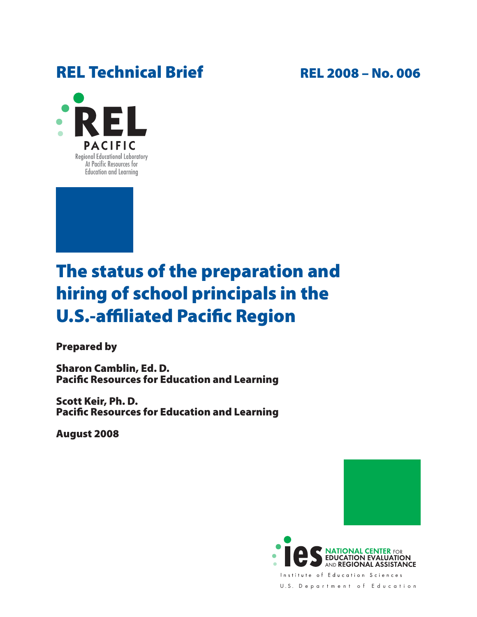## REL Technical Brief REL 2008 - No. 006





# The status of the preparation and hiring of school principals in the U.S.-affiliated Pacific Region

Prepared by

Sharon Camblin, Ed. D. Pacific Resources for Education and Learning

Scott Keir, Ph. D. Pacific Resources for Education and Learning

August 2008



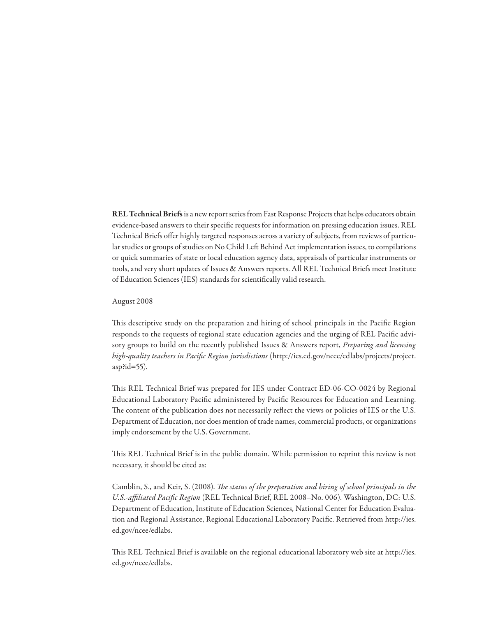REL Technical Briefs is a new report series from Fast Response Projects that helps educators obtain evidence-based answers to their specific requests for information on pressing education issues. REL Technical Briefs offer highly targeted responses across a variety of subjects, from reviews of particular studies or groups of studies on No Child Left Behind Act implementation issues, to compilations or quick summaries of state or local education agency data, appraisals of particular instruments or tools, and very short updates of Issues & Answers reports. All REL Technical Briefs meet Institute of Education Sciences (IES) standards for scientifically valid research.

#### August 2008

This descriptive study on the preparation and hiring of school principals in the Pacific Region responds to the requests of regional state education agencies and the urging of REL Pacific advisory groups to build on the recently published Issues & Answers report, *Preparing and licensing high-quality teachers in Pacific Region jurisdictions* (http://ies.ed.gov/ncee/edlabs/projects/project. asp?id=55).

This REL Technical Brief was prepared for IES under Contract ED-06-CO-0024 by Regional Educational Laboratory Pacific administered by Pacific Resources for Education and Learning. The content of the publication does not necessarily reflect the views or policies of IES or the U.S. Department of Education, nor does mention of trade names, commercial products, or organizations imply endorsement by the U.S. Government.

This REL Technical Brief is in the public domain. While permission to reprint this review is not necessary, it should be cited as:

Camblin, S., and Keir, S. (2008). *The status of the preparation and hiring of school principals in the U.S.-affiliated Pacific Region* (REL Technical Brief, REL 2008–No. 006). Washington, DC: U.S. Department of Education, Institute of Education Sciences, National Center for Education Evaluation and Regional Assistance, Regional Educational Laboratory Pacific. Retrieved from http://ies. ed.gov/ncee/edlabs.

This REL Technical Brief is available on the regional educational laboratory web site at http://ies. ed.gov/ncee/edlabs.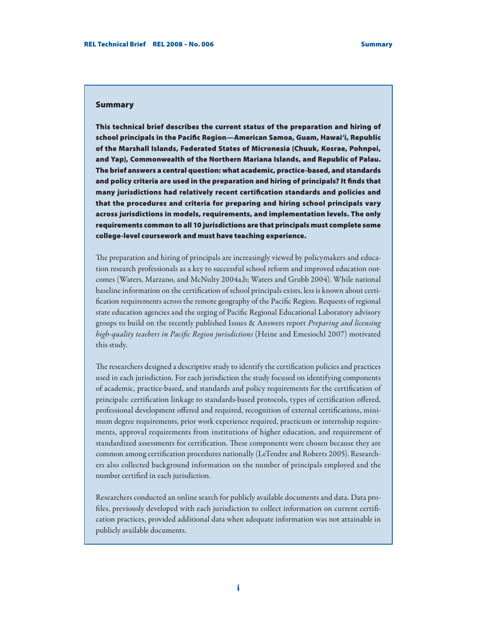#### Summary

This technical brief describes the current status of the preparation and hiring of school principals in the Pacific Region—American Samoa, Guam, Hawai'i, Republic of the Marshall Islands, Federated States of Micronesia (Chuuk, Kosrae, Pohnpei, and Yap), Commonwealth of the Northern Mariana Islands, and Republic of Palau. The brief answers a central question: what academic, practice-based, and standards and policy criteria are used in the preparation and hiring of principals? It finds that many jurisdictions had relatively recent certification standards and policies and that the procedures and criteria for preparing and hiring school principals vary across jurisdictions in models, requirements, and implementation levels. The only requirements common to all 10 jurisdictions are that principals must complete some college-level coursework and must have teaching experience.

The preparation and hiring of principals are increasingly viewed by policymakers and education research professionals as a key to successful school reform and improved education outcomes (Waters, Marzano, and McNulty 2004a,b; Waters and Grubb 2004). While national baseline information on the certification of school principals exists, less is known about certification requirements across the remote geography of the Pacific Region. Requests of regional state education agencies and the urging of Pacific Regional Educational Laboratory advisory groups to build on the recently published Issues & Answers report *Preparing and licensing high-quality teachers in Pacific Region jurisdictions* (Heine and Emesiochl 2007) motivated this study.

The researchers designed a descriptive study to identify the certification policies and practices used in each jurisdiction. For each jurisdiction the study focused on identifying components of academic, practice-based, and standards and policy requirements for the certification of principals: certification linkage to standards-based protocols, types of certification offered, professional development offered and required, recognition of external certifications, minimum degree requirements, prior work experience required, practicum or internship requirements, approval requirements from institutions of higher education, and requirement of standardized assessments for certification. These components were chosen because they are common among certification procedures nationally (LeTendre and Roberts 2005). Researchers also collected background information on the number of principals employed and the number certified in each jurisdiction.

Researchers conducted an online search for publicly available documents and data. Data profiles, previously developed with each jurisdiction to collect information on current certification practices, provided additional data when adequate information was not attainable in publicly available documents.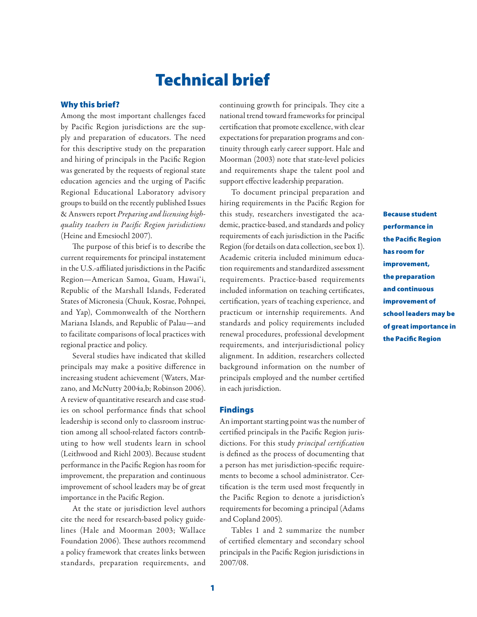## Technical brief

### Why this brief?

Among the most important challenges faced by Pacific Region jurisdictions are the supply and preparation of educators. The need for this descriptive study on the preparation and hiring of principals in the Pacific Region was generated by the requests of regional state education agencies and the urging of Pacific Regional Educational Laboratory advisory groups to build on the recently published Issues & Answers report *Preparing and licensing highquality teachers in Pacific Region jurisdictions*  (Heine and Emesiochl 2007).

The purpose of this brief is to describe the current requirements for principal instatement in the U.S.-affiliated jurisdictions in the Pacific Region—American Samoa, Guam, Hawai'i, Republic of the Marshall Islands, Federated States of Micronesia (Chuuk, Kosrae, Pohnpei, and Yap), Commonwealth of the Northern Mariana Islands, and Republic of Palau—and to facilitate comparisons of local practices with regional practice and policy.

Several studies have indicated that skilled principals may make a positive difference in increasing student achievement (Waters, Marzano, and McNutty 2004a,b; Robinson 2006). A review of quantitative research and case studies on school performance finds that school leadership is second only to classroom instruction among all school-related factors contributing to how well students learn in school (Leithwood and Riehl 2003). Because student performance in the Pacific Region has room for improvement, the preparation and continuous improvement of school leaders may be of great importance in the Pacific Region.

At the state or jurisdiction level authors cite the need for research-based policy guidelines (Hale and Moorman 2003; Wallace Foundation 2006). These authors recommend a policy framework that creates links between standards, preparation requirements, and continuing growth for principals. They cite a national trend toward frameworks for principal certification that promote excellence, with clear expectations for preparation programs and continuity through early career support. Hale and Moorman (2003) note that state-level policies and requirements shape the talent pool and support effective leadership preparation.

To document principal preparation and hiring requirements in the Pacific Region for this study, researchers investigated the academic, practice-based, and standards and policy requirements of each jurisdiction in the Pacific Region (for details on data collection, see box 1). Academic criteria included minimum education requirements and standardized assessment requirements. Practice-based requirements included information on teaching certificates, certification, years of teaching experience, and practicum or internship requirements. And standards and policy requirements included renewal procedures, professional development requirements, and interjurisdictional policy alignment. In addition, researchers collected background information on the number of principals employed and the number certified in each jurisdiction.

#### Findings

An important starting point was the number of certified principals in the Pacific Region jurisdictions. For this study *principal certification* is defined as the process of documenting that a person has met jurisdiction-specific requirements to become a school administrator. Certification is the term used most frequently in the Pacific Region to denote a jurisdiction's requirements for becoming a principal (Adams and Copland 2005).

Tables 1 and 2 summarize the number of certified elementary and secondary school principals in the Pacific Region jurisdictions in 2007/08.

Because student performance in the Pacific Region has room for improvement, the preparation and continuous improvement of school leaders may be of great importance in the Pacific Region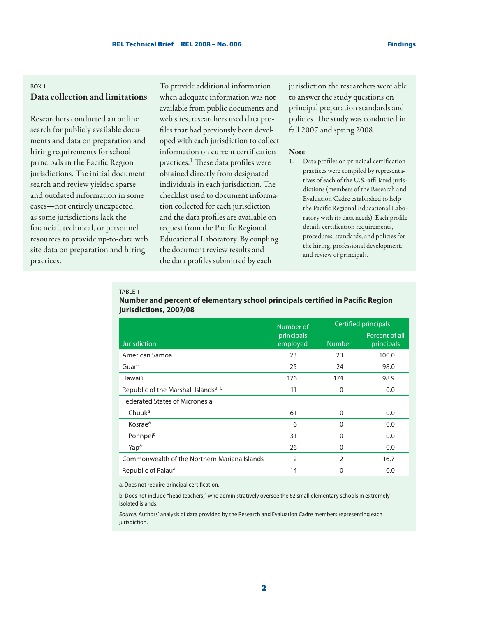## Box 1 Data collection and limitations

Researchers conducted an online search for publicly available documents and data on preparation and hiring requirements for school principals in the Pacific Region jurisdictions. The initial document search and review yielded sparse and outdated information in some cases—not entirely unexpected, as some jurisdictions lack the financial, technical, or personnel resources to provide up-to-date web site data on preparation and hiring practices.

To provide additional information when adequate information was not available from public documents and web sites, researchers used data profiles that had previously been developed with each jurisdiction to collect information on current certification practices.1 These data profiles were obtained directly from designated individuals in each jurisdiction. The checklist used to document information collected for each jurisdiction and the data profiles are available on request from the Pacific Regional Educational Laboratory. By coupling the document review results and the data profiles submitted by each

jurisdiction the researchers were able to answer the study questions on principal preparation standards and policies. The study was conducted in fall 2007 and spring 2008.

#### Note

1. Data profiles on principal certification practices were compiled by representatives of each of the U.S.-affiliated jurisdictions (members of the Research and Evaluation Cadre established to help the Pacific Regional Educational Laboratory with its data needs). Each profile details certification requirements, procedures, standards, and policies for the hiring, professional development, and review of principals.

#### Table 1

|                                                  | Number of              | Certified principals |                              |
|--------------------------------------------------|------------------------|----------------------|------------------------------|
| <b>Jurisdiction</b>                              | principals<br>employed | <b>Number</b>        | Percent of all<br>principals |
| American Samoa                                   | 23                     | 23                   | 100.0                        |
| Guam                                             | 25                     | 24                   | 98.0                         |
| Hawai'i                                          | 176                    | 174                  | 98.9                         |
| Republic of the Marshall Islands <sup>a, b</sup> | 11                     | 0                    | 0.0                          |
| <b>Federated States of Micronesia</b>            |                        |                      |                              |
| Chuuk <sup>a</sup>                               | 61                     | $\Omega$             | 0.0                          |
| Kosrae <sup>a</sup>                              | 6                      | $\Omega$             | 0.0                          |
| Pohnpei <sup>a</sup>                             | 31                     | $\Omega$             | 0.0                          |
| Yap <sup>a</sup>                                 | 26                     | $\Omega$             | 0.0                          |
| Commonwealth of the Northern Mariana Islands     | 12                     | 2                    | 16.7                         |
| Republic of Palau <sup>a</sup>                   | 14                     | 0                    | 0.0                          |

## **Number and percent of elementary school principals certified in Pacific Region jurisdictions, 2007/08**

a. Does not require principal certification.

b. Does not include "head teachers," who administratively oversee the 62 small elementary schools in extremely isolated islands.

*Source:* Authors' analysis of data provided by the Research and Evaluation Cadre members representing each jurisdiction.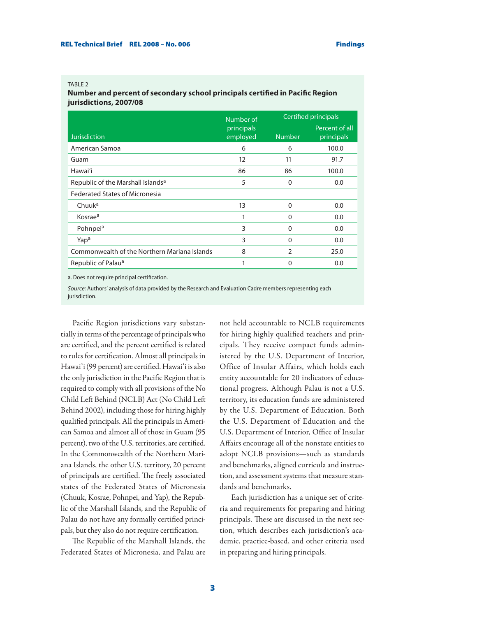#### TABLE<sub>2</sub>

**Number and percent of secondary school principals certified in Pacific Region jurisdictions, 2007/08**

|                                               | Number of              | Certified principals |                              |
|-----------------------------------------------|------------------------|----------------------|------------------------------|
| <b>Jurisdiction</b>                           | principals<br>employed | <b>Number</b>        | Percent of all<br>principals |
| American Samoa                                | 6                      | 6                    | 100.0                        |
| Guam                                          | 12                     | 11                   | 91.7                         |
| Hawai'i                                       | 86                     | 86                   | 100.0                        |
| Republic of the Marshall Islands <sup>a</sup> | 5                      | 0                    | 0.0                          |
| <b>Federated States of Micronesia</b>         |                        |                      |                              |
| Chuuk <sup>a</sup>                            | 13                     | $\Omega$             | 0.0                          |
| Kosrae <sup>a</sup>                           | 1                      | 0                    | 0.0                          |
| Pohnpei <sup>a</sup>                          | 3                      | 0                    | 0.0                          |
| Yap <sup>a</sup>                              | 3                      | $\Omega$             | 0.0                          |
| Commonwealth of the Northern Mariana Islands  | 8                      | $\overline{2}$       | 25.0                         |
| Republic of Palau <sup>a</sup>                | 1                      | 0                    | 0.0                          |

a. Does not require principal certification.

*Source:* Authors' analysis of data provided by the Research and Evaluation Cadre members representing each jurisdiction.

Pacific Region jurisdictions vary substantially in terms of the percentage of principals who are certified, and the percent certified is related to rules for certification. Almost all principals in Hawai'i (99 percent) are certified. Hawai'i is also the only jurisdiction in the Pacific Region that is required to comply with all provisions of the No Child Left Behind (NCLB) Act (No Child Left Behind 2002), including those for hiring highly qualified principals. All the principals in American Samoa and almost all of those in Guam (95 percent), two of the U.S. territories, are certified. In the Commonwealth of the Northern Mariana Islands, the other U.S. territory, 20 percent of principals are certified. The freely associated states of the Federated States of Micronesia (Chuuk, Kosrae, Pohnpei, and Yap), the Republic of the Marshall Islands, and the Republic of Palau do not have any formally certified principals, but they also do not require certification.

The Republic of the Marshall Islands, the Federated States of Micronesia, and Palau are

not held accountable to NCLB requirements for hiring highly qualified teachers and principals. They receive compact funds administered by the U.S. Department of Interior, Office of Insular Affairs, which holds each entity accountable for 20 indicators of educational progress. Although Palau is not a U.S. territory, its education funds are administered by the U.S. Department of Education. Both the U.S. Department of Education and the U.S. Department of Interior, Office of Insular Affairs encourage all of the nonstate entities to adopt NCLB provisions—such as standards and benchmarks, aligned curricula and instruction, and assessment systems that measure standards and benchmarks.

Each jurisdiction has a unique set of criteria and requirements for preparing and hiring principals. These are discussed in the next section, which describes each jurisdiction's academic, practice-based, and other criteria used in preparing and hiring principals.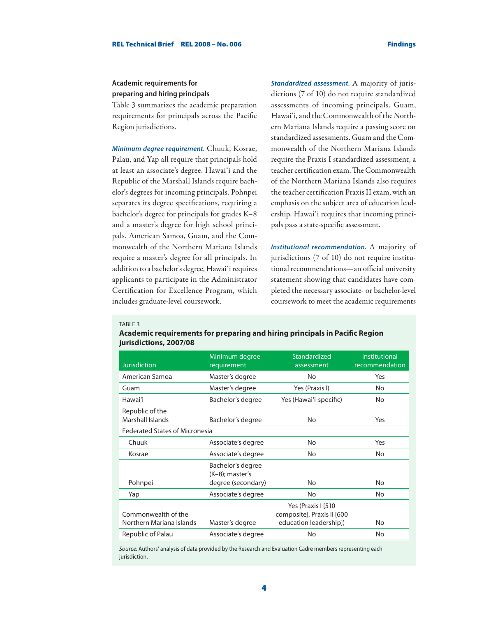## **Academic requirements for preparing and hiring principals**

Table 3 summarizes the academic preparation requirements for principals across the Pacific Region jurisdictions.

*Minimum degree requirement.* Chuuk, Kosrae, Palau, and Yap all require that principals hold at least an associate's degree. Hawai'i and the Republic of the Marshall Islands require bachelor's degrees for incoming principals. Pohnpei separates its degree specifications, requiring a bachelor's degree for principals for grades K–8 and a master's degree for high school principals. American Samoa, Guam, and the Commonwealth of the Northern Mariana Islands require a master's degree for all principals. In addition to a bachelor's degree, Hawai'i requires applicants to participate in the Administrator Certification for Excellence Program, which includes graduate-level coursework.

*Standardized assessment.* A majority of jurisdictions (7 of 10) do not require standardized assessments of incoming principals. Guam, Hawai'i, and the Commonwealth of the Northern Mariana Islands require a passing score on standardized assessments. Guam and the Commonwealth of the Northern Mariana Islands require the Praxis I standardized assessment, a teacher certification exam. The Commonwealth of the Northern Mariana Islands also requires the teacher certification Praxis II exam, with an emphasis on the subject area of education leadership. Hawai'i requires that incoming principals pass a state-specific assessment.

*Institutional recommendation.* A majority of jurisdictions (7 of 10) do not require institutional recommendations—an official university statement showing that candidates have completed the necessary associate- or bachelor-level coursework to meet the academic requirements

#### TABLE<sub>3</sub>

| <b>Jurisdiction</b>                             | Minimum degree<br>requirement           | Standardized<br>assessment                                                 | <b>Institutional</b><br>recommendation |  |  |
|-------------------------------------------------|-----------------------------------------|----------------------------------------------------------------------------|----------------------------------------|--|--|
| American Samoa                                  | Master's degree                         | No                                                                         | Yes                                    |  |  |
| Guam                                            | Master's degree                         | Yes (Praxis I)                                                             | No                                     |  |  |
| Hawai'i                                         | Bachelor's degree                       | Yes (Hawai'i-specific)                                                     | No                                     |  |  |
| Republic of the<br>Marshall Islands             | Bachelor's degree                       | No                                                                         | Yes                                    |  |  |
| <b>Federated States of Micronesia</b>           |                                         |                                                                            |                                        |  |  |
| Chuuk                                           | Associate's degree                      | No                                                                         | Yes                                    |  |  |
| Kosrae                                          | Associate's degree                      | No                                                                         | <b>No</b>                              |  |  |
|                                                 | Bachelor's degree<br>$(K-8)$ ; master's |                                                                            |                                        |  |  |
| Pohnpei                                         | degree (secondary)                      | No                                                                         | <b>No</b>                              |  |  |
| Yap                                             | Associate's degree                      | No                                                                         | No                                     |  |  |
| Commonwealth of the<br>Northern Mariana Islands | Master's degree                         | Yes (Praxis I [510<br>composite], Praxis II [600<br>education leadership]) | No                                     |  |  |
| Republic of Palau                               | Associate's degree                      | No                                                                         | No                                     |  |  |

### **Academic requirements for preparing and hiring principals in Pacific Region jurisdictions, 2007/08**

*Source:* Authors' analysis of data provided by the Research and Evaluation Cadre members representing each jurisdiction.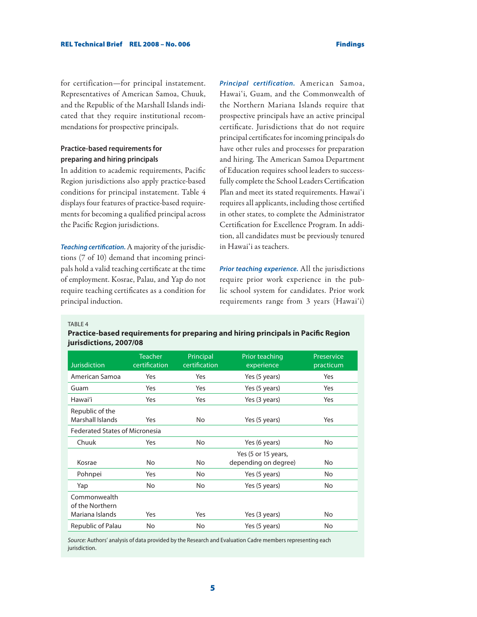for certification—for principal instatement. Representatives of American Samoa, Chuuk, and the Republic of the Marshall Islands indicated that they require institutional recommendations for prospective principals.

## **Practice-based requirements for preparing and hiring principals**

In addition to academic requirements, Pacific Region jurisdictions also apply practice-based conditions for principal instatement. Table 4 displays four features of practice-based requirements for becoming a qualified principal across the Pacific Region jurisdictions.

*Teaching certification.* A majority of the jurisdictions (7 of 10) demand that incoming principals hold a valid teaching certificate at the time of employment. Kosrae, Palau, and Yap do not require teaching certificates as a condition for principal induction.

*Principal certification.* American Samoa, Hawai'i, Guam, and the Commonwealth of the Northern Mariana Islands require that prospective principals have an active principal certificate. Jurisdictions that do not require principal certificates for incoming principals do have other rules and processes for preparation and hiring. The American Samoa Department of Education requires school leaders to successfully complete the School Leaders Certification Plan and meet its stated requirements. Hawai'i requires all applicants, including those certified in other states, to complete the Administrator Certification for Excellence Program. In addition, all candidates must be previously tenured in Hawai'i as teachers.

*Prior teaching experience.* All the jurisdictions require prior work experience in the public school system for candidates. Prior work requirements range from 3 years (Hawai'i)

TABLE<sub>4</sub>

## **Practice-based requirements for preparing and hiring principals in Pacific Region jurisdictions, 2007/08**

| <b>Jurisdiction</b>                   | <b>Teacher</b><br>certification | Principal<br>certification | Prior teaching<br>experience                | Preservice<br>practicum |  |
|---------------------------------------|---------------------------------|----------------------------|---------------------------------------------|-------------------------|--|
| American Samoa                        | Yes                             | Yes                        | Yes (5 years)                               | Yes                     |  |
| Guam                                  | Yes                             | Yes                        | Yes (5 years)                               | Yes                     |  |
| Hawai'i                               | Yes                             | Yes                        | Yes (3 years)                               | Yes                     |  |
| Republic of the<br>Marshall Islands   | Yes                             | No                         | Yes (5 years)                               | Yes                     |  |
| <b>Federated States of Micronesia</b> |                                 |                            |                                             |                         |  |
| Chuuk                                 | Yes                             | No                         | Yes (6 years)                               | No                      |  |
| Kosrae                                | No                              | No                         | Yes (5 or 15 years,<br>depending on degree) | No                      |  |
| Pohnpei                               | Yes                             | No                         | Yes (5 years)                               | No                      |  |
| Yap                                   | No                              | No                         | Yes (5 years)                               | No                      |  |
| Commonwealth<br>of the Northern       |                                 |                            |                                             |                         |  |
| Mariana Islands                       | Yes                             | Yes                        | Yes (3 years)                               | No                      |  |
| Republic of Palau                     | No                              | No                         | Yes (5 years)                               | No                      |  |

*Source:* Authors' analysis of data provided by the Research and Evaluation Cadre members representing each jurisdiction.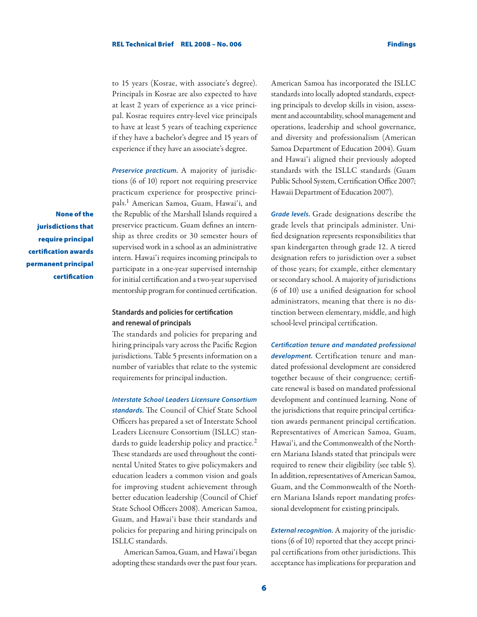to 15 years (Kosrae, with associate's degree). Principals in Kosrae are also expected to have at least 2 years of experience as a vice principal. Kosrae requires entry-level vice principals to have at least 5 years of teaching experience if they have a bachelor's degree and 15 years of experience if they have an associate's degree.

*Preservice practicum.* A majority of jurisdictions (6 of 10) report not requiring preservice practicum experience for prospective principals.1 American Samoa, Guam, Hawai'i, and the Republic of the Marshall Islands required a preservice practicum. Guam defines an internship as three credits or 30 semester hours of supervised work in a school as an administrative intern. Hawai'i requires incoming principals to participate in a one-year supervised internship for initial certification and a two-year supervised mentorship program for continued certification.

**Standards and policies for certification and renewal of principals**

The standards and policies for preparing and hiring principals vary across the Pacific Region jurisdictions. Table 5 presents information on a number of variables that relate to the systemic requirements for principal induction.

*Interstate School Leaders Licensure Consortium* 

*standards.* The Council of Chief State School Officers has prepared a set of Interstate School Leaders Licensure Consortium (ISLLC) standards to guide leadership policy and practice.<sup>2</sup> These standards are used throughout the continental United States to give policymakers and education leaders a common vision and goals for improving student achievement through better education leadership (Council of Chief State School Officers 2008). American Samoa, Guam, and Hawai'i base their standards and policies for preparing and hiring principals on ISLLC standards.

American Samoa, Guam, and Hawai'i began adopting these standards over the past four years.

American Samoa has incorporated the ISLLC standards into locally adopted standards, expecting principals to develop skills in vision, assessment and accountability, school management and operations, leadership and school governance, and diversity and professionalism (American Samoa Department of Education 2004). Guam and Hawai'i aligned their previously adopted standards with the ISLLC standards (Guam Public School System, Certification Office 2007; Hawaii Department of Education 2007).

*Grade levels.* Grade designations describe the grade levels that principals administer. Unified designation represents responsibilities that span kindergarten through grade 12. A tiered designation refers to jurisdiction over a subset of those years; for example, either elementary or secondary school. A majority of jurisdictions (6 of 10) use a unified designation for school administrators, meaning that there is no distinction between elementary, middle, and high school-level principal certification.

*Certification tenure and mandated professional development.* Certification tenure and mandated professional development are considered together because of their congruence; certificate renewal is based on mandated professional development and continued learning. None of the jurisdictions that require principal certification awards permanent principal certification. Representatives of American Samoa, Guam, Hawai'i, and the Commonwealth of the Northern Mariana Islands stated that principals were required to renew their eligibility (see table 5). In addition, representatives of American Samoa, Guam, and the Commonwealth of the Northern Mariana Islands report mandating professional development for existing principals.

*External recognition.* A majority of the jurisdictions (6 of 10) reported that they accept principal certifications from other jurisdictions. This acceptance has implications for preparation and

None of the jurisdictions that require principal certification awards permanent principal certification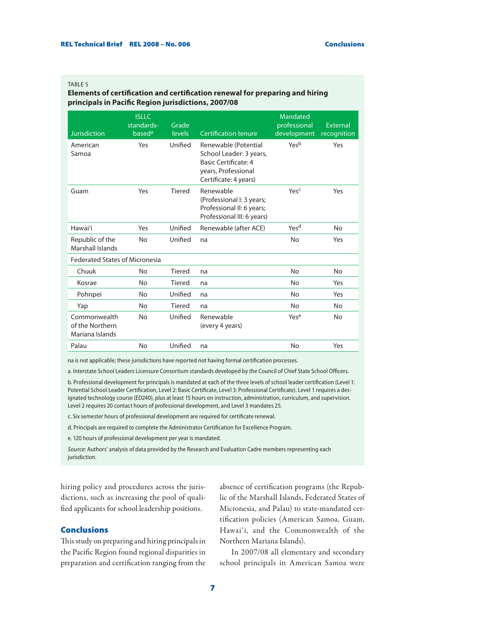#### TABLE<sub>5</sub>

### **Elements of certification and certification renewal for preparing and hiring principals in Pacific Region jurisdictions, 2007/08**

| <b>Jurisdiction</b>                                | <b>ISLLC</b><br>standards-<br>based <sup>a</sup> | Grade<br><b>levels</b> | <b>Certification tenure</b>                                                                                                    | Mandated<br>professional<br>development | External<br>recognition |
|----------------------------------------------------|--------------------------------------------------|------------------------|--------------------------------------------------------------------------------------------------------------------------------|-----------------------------------------|-------------------------|
| American<br>Samoa                                  | Yes                                              | Unified                | Renewable (Potential<br>School Leader: 3 years,<br><b>Basic Certificate: 4</b><br>years, Professional<br>Certificate: 4 years) | Yesb                                    | Yes                     |
| Guam                                               | Yes                                              | Tiered                 | Renewable<br>(Professional I: 3 years;<br>Professional II: 6 years;<br>Professional III: 6 years)                              | Yesc                                    | Yes                     |
| Hawai'i                                            | Yes                                              | Unified                | Renewable (after ACE)                                                                                                          | Yes <sup>d</sup>                        | <b>No</b>               |
| Republic of the<br>Marshall Islands                | <b>No</b>                                        | Unified                | na                                                                                                                             | No                                      | Yes                     |
| <b>Federated States of Micronesia</b>              |                                                  |                        |                                                                                                                                |                                         |                         |
| Chuuk                                              | <b>No</b>                                        | Tiered                 | na                                                                                                                             | No                                      | <b>No</b>               |
| Kosrae                                             | No                                               | Tiered                 | na                                                                                                                             | No                                      | Yes                     |
| Pohnpei                                            | <b>No</b>                                        | Unified                | na                                                                                                                             | No                                      | Yes                     |
| Yap                                                | No                                               | Tiered                 | na                                                                                                                             | No                                      | <b>No</b>               |
| Commonwealth<br>of the Northern<br>Mariana Islands | <b>No</b>                                        | Unified                | Renewable<br>(every 4 years)                                                                                                   | Yese                                    | <b>No</b>               |
| Palau                                              | <b>No</b>                                        | Unified                | na                                                                                                                             | No                                      | Yes                     |

na is not applicable; these jurisdictions have reported not having formal certification processes.

a. Interstate School Leaders Licensure Consortium standards developed by the Council of Chief State School Officers.

b. Professional development for principals is mandated at each of the three levels of school leader certification (Level 1: Potential School Leader Certification, Level 2: Basic Certificate, Level 3: Professional Certificate). Level 1 requires a designated technology course (ED240), plus at least 15 hours on instruction, administration, curriculum, and supervision. Level 2 requires 20 contact hours of professional development, and Level 3 mandates 25.

c. Six semester hours of professional development are required for certificate renewal.

d. Principals are required to complete the Administrator Certification for Excellence Program.

e. 120 hours of professional development per year is mandated.

*Source:* Authors' analysis of data provided by the Research and Evaluation Cadre members representing each jurisdiction.

hiring policy and procedures across the jurisdictions, such as increasing the pool of qualified applicants for school leadership positions.

## Conclusions

This study on preparing and hiring principals in the Pacific Region found regional disparities in preparation and certification ranging from the absence of certification programs (the Republic of the Marshall Islands, Federated States of Micronesia, and Palau) to state-mandated certification policies (American Samoa, Guam, Hawai'i, and the Commonwealth of the Northern Mariana Islands).

In 2007/08 all elementary and secondary school principals in American Samoa were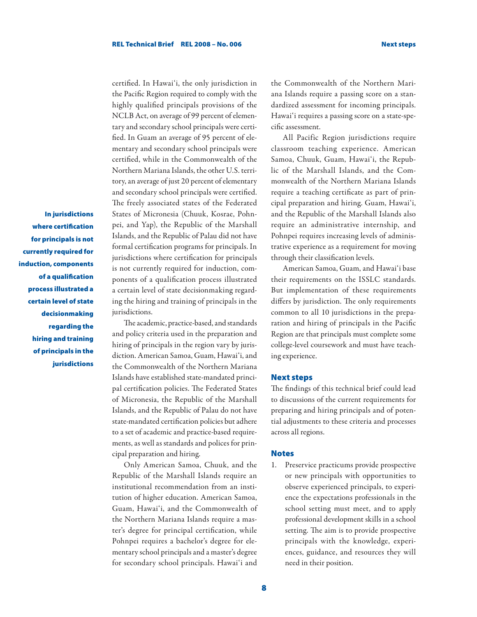In jurisdictions where certification for principals is not currently required for induction, components of a qualification process illustrated a certain level of state decisionmaking regarding the hiring and training of principals in the jurisdictions

certified. In Hawai'i, the only jurisdiction in the Pacific Region required to comply with the highly qualified principals provisions of the NCLB Act, on average of 99 percent of elementary and secondary school principals were certified. In Guam an average of 95 percent of elementary and secondary school principals were certified, while in the Commonwealth of the Northern Mariana Islands, the other U.S. territory, an average of just 20 percent of elementary and secondary school principals were certified. The freely associated states of the Federated States of Micronesia (Chuuk, Kosrae, Pohnpei, and Yap), the Republic of the Marshall Islands, and the Republic of Palau did not have formal certification programs for principals. In jurisdictions where certification for principals is not currently required for induction, components of a qualification process illustrated a certain level of state decisionmaking regarding the hiring and training of principals in the jurisdictions.

The academic, practice-based, and standards and policy criteria used in the preparation and hiring of principals in the region vary by jurisdiction. American Samoa, Guam, Hawai'i, and the Commonwealth of the Northern Mariana Islands have established state-mandated principal certification policies. The Federated States of Micronesia, the Republic of the Marshall Islands, and the Republic of Palau do not have state-mandated certification policies but adhere to a set of academic and practice-based requirements, as well as standards and polices for principal preparation and hiring.

Only American Samoa, Chuuk, and the Republic of the Marshall Islands require an institutional recommendation from an institution of higher education. American Samoa, Guam, Hawai'i, and the Commonwealth of the Northern Mariana Islands require a master's degree for principal certification, while Pohnpei requires a bachelor's degree for elementary school principals and a master's degree for secondary school principals. Hawai'i and

the Commonwealth of the Northern Mariana Islands require a passing score on a standardized assessment for incoming principals. Hawai'i requires a passing score on a state-specific assessment.

All Pacific Region jurisdictions require classroom teaching experience. American Samoa, Chuuk, Guam, Hawai'i, the Republic of the Marshall Islands, and the Commonwealth of the Northern Mariana Islands require a teaching certificate as part of principal preparation and hiring. Guam, Hawai'i, and the Republic of the Marshall Islands also require an administrative internship, and Pohnpei requires increasing levels of administrative experience as a requirement for moving through their classification levels.

American Samoa, Guam, and Hawai'i base their requirements on the ISSLC standards. But implementation of these requirements differs by jurisdiction. The only requirements common to all 10 jurisdictions in the preparation and hiring of principals in the Pacific Region are that principals must complete some college-level coursework and must have teaching experience.

#### Next steps

The findings of this technical brief could lead to discussions of the current requirements for preparing and hiring principals and of potential adjustments to these criteria and processes across all regions.

#### **Notes**

1. Preservice practicums provide prospective or new principals with opportunities to observe experienced principals, to experience the expectations professionals in the school setting must meet, and to apply professional development skills in a school setting. The aim is to provide prospective principals with the knowledge, experiences, guidance, and resources they will need in their position.